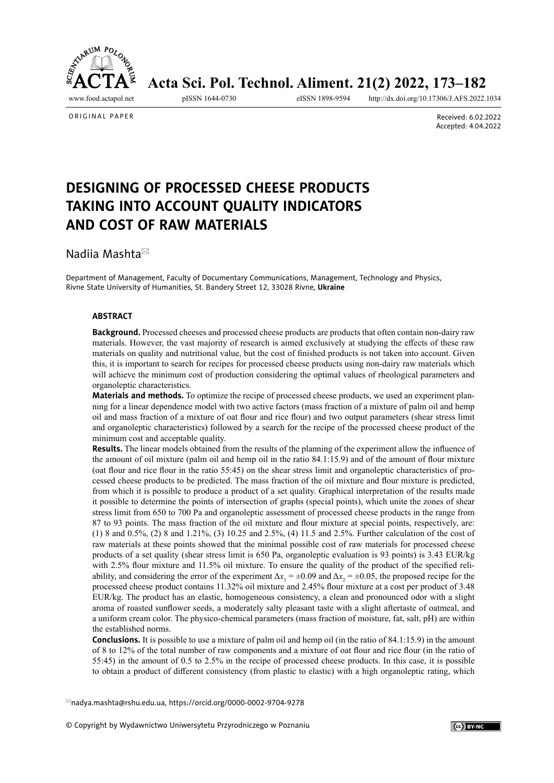<span id="page-0-0"></span>

Acta Sci. Pol. Technol. Aliment. 21(2) 2022, 173-182

<http://dx.doi.org/10.17306/J.AFS.2022.1034>

ORIGINAL PAPER

Received: 6.02.2022 Accepted: 4.04.2022

# **DESIGNING OF PROCESSED CHEESE PRODUCTS TAKING INTO ACCOUNT QUALITY INDICATORS AND COST OF RAW MATERIALS**

Nadiia Mashta

Department of Management, Faculty of Documentary Communications, Management, Technology and Physics, Rivne State University of Humanities, St. Bandery Street 12, 33028 Rivne, **Ukraine**

#### **ABSTRACT**

**Background.** Processed cheeses and processed cheese products are products that often contain non-dairy raw materials. However, the vast majority of research is aimed exclusively at studying the effects of these raw materials on quality and nutritional value, but the cost of finished products is not taken into account. Given this, it is important to search for recipes for processed cheese products using non-dairy raw materials which will achieve the minimum cost of production considering the optimal values of rheological parameters and organoleptic characteristics.

**Materials and methods.** To optimize the recipe of processed cheese products, we used an experiment planning for a linear dependence model with two active factors (mass fraction of a mixture of palm oil and hemp oil and mass fraction of a mixture of oat flour and rice flour) and two output parameters (shear stress limit and organoleptic characteristics) followed by a search for the recipe of the processed cheese product of the minimum cost and acceptable quality.

**Results.** The linear models obtained from the results of the planning of the experiment allow the influence of the amount of oil mixture (palm oil and hemp oil in the ratio 84.1:15.9) and of the amount of flour mixture (oat flour and rice flour in the ratio 55:45) on the shear stress limit and organoleptic characteristics of processed cheese products to be predicted. The mass fraction of the oil mixture and flour mixture is predicted, from which it is possible to produce a product of a set quality. Graphical interpretation of the results made it possible to determine the points of intersection of graphs (special points), which unite the zones of shear stress limit from 650 to 700 Pа and organoleptic assessment of processed cheese products in the range from 87 to 93 points. The mass fraction of the oil mixture and flour mixture at special points, respectively, are: (1) 8 and 0.5%, (2) 8 and 1.21%, (3) 10.25 and 2.5%, (4) 11.5 and 2.5%. Further calculation of the cost of raw materials at these points showed that the minimal possible cost of raw materials for processed cheese products of a set quality (shear stress limit is 650 Pa, organoleptic evaluation is 93 points) is 3.43 EUR/kg with 2.5% flour mixture and 11.5% oil mixture. To ensure the quality of the product of the specified reliability, and considering the error of the experiment  $\Delta x_1 = \pm 0.09$  and  $\Delta x_2 = \pm 0.05$ , the proposed recipe for the processed cheese product contains 11.32% oil mixture and 2.45% flour mixture at a cost per product of 3.48 EUR/kg. The product has an elastic, homogeneous consistency, a clean and pronounced odor with a slight aroma of roasted sunflower seeds, a moderately salty pleasant taste with a slight aftertaste of oatmeal, and a uniform cream color. The physico-chemical parameters (mass fraction of moisture, fat, salt, pH) are within the established norms.

**Conclusions.** It is possible to use a mixture of palm oil and hemp oil (in the ratio of 84.1:15.9) in the amount of 8 to 12% of the total number of raw components and a mixture of oat flour and rice flour (in the ratio of 55:45) in the amount of 0.5 to 2.5% in the recipe of processed cheese products. In this case, it is possible to obtain a product of different consistency (from plastic to elastic) with a high organoleptic rating, which

[nadya.mashta@rshu.edu.ua](mailto:nadya.mashta%40rshu.edu.ua?subject=), <https://orcid.org/0000-0002-9704-9278>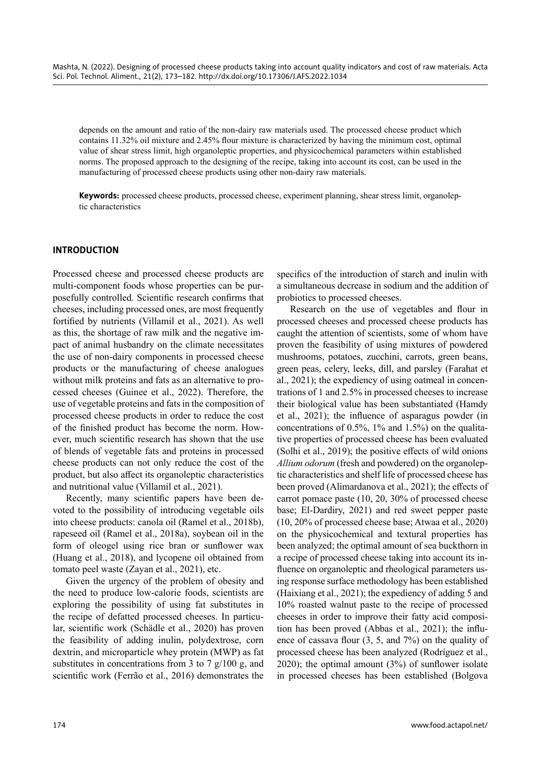depends on the amount and ratio of the non-dairy raw materials used. The processed cheese product which contains 11.32% oil mixture and 2.45% flour mixture is characterized by having the minimum cost, optimal value of shear stress limit, high organoleptic properties, and physicochemical parameters within established norms. The proposed approach to the designing of the recipe, taking into account its cost, can be used in the manufacturing of processed cheese products using other non-dairy raw materials.

**Keywords:** processed cheese products, processed cheese, experiment planning, shear stress limit, organoleptic characteristics

# **INTRODUCTION**

Processed cheese and processed cheese products are multi-component foods whose properties can be purposefully controlled. Scientific research confirms that cheeses, including processed ones, are most frequently fortified by nutrients (Villamil et al., 2021). As well as this, the shortage of raw milk and the negative impact of animal husbandry on the climate necessitates the use of non-dairy components in processed cheese products or the manufacturing of cheese analogues without milk proteins and fats as an alternative to processed cheeses (Guinee et al., 2022). Therefore, the use of vegetable proteins and fats in the composition of processed cheese products in order to reduce the cost of the finished product has become the norm. However, much scientific research has shown that the use of blends of vegetable fats and proteins in processed cheese products can not only reduce the cost of the product, but also affect its organoleptic characteristics and nutritional value (Villamil et al., 2021).

Recently, many scientific papers have been devoted to the possibility of introducing vegetable oils into cheese products: canola oil (Ramel et al., 2018b), rapeseed oil (Ramel et al., 2018a), soybean oil in the form of oleogel using rice bran or sunflower wax (Huang et al., 2018), and lycopene oil obtained from tomato peel waste (Zayan et al., 2021), etc.

Given the urgency of the problem of obesity and the need to produce low-calorie foods, scientists are exploring the possibility of using fat substitutes in the recipe of defatted processed cheeses. In particular, scientific work (Schädle et al., 2020) has proven the feasibility of adding inulin, polydextrose, corn dextrin, and microparticle whey protein (MWP) as fat substitutes in concentrations from 3 to 7 g/100 g, and scientific work (Ferrão et al., 2016) demonstrates the specifics of the introduction of starch and inulin with a simultaneous decrease in sodium and the addition of probiotics to processed cheeses.

Research on the use of vegetables and flour in processed cheeses and processed cheese products has caught the attention of scientists, some of whom have proven the feasibility of using mixtures of powdered mushrooms, potatoes, zucchini, carrots, green beans, green peas, celery, leeks, dill, and parsley (Farahat et al., 2021); the expediency of using oatmeal in concentrations of 1 and 2.5% in processed cheeses to increase their biological value has been substantiated (Hamdy et al., 2021); the influence of asparagus powder (in concentrations of 0.5%, 1% and 1.5%) on the qualitative properties of processed cheese has been evaluated (Solhi et al., 2019); the positive effects of wild onions *Allium odorum* (fresh and powdered) on the organoleptic characteristics and shelf life of processed cheese has been proved (Alimardanova et al., 2021); the effects of carrot pomace paste (10, 20, 30% of processed cheese base; El-Dardiry, 2021) and red sweet pepper paste (10, 20% of processed cheese base; Atwaa et al., 2020) on the physicochemical and textural properties has been analyzed; the optimal amount of sea buckthorn in a recipe of processed cheese taking into account its influence on organoleptic and rheological parameters using response surface methodology has been established (Haixiang et al., 2021); the expediency of adding 5 and 10% roasted walnut paste to the recipe of processed cheeses in order to improve their fatty acid composition has been proved (Abbas et al., 2021); the influence of cassava flour (3, 5, and 7%) on the quality of processed cheese has been analyzed (Rodríguez et al., 2020); the optimal amount (3%) of sunflower isolate in processed cheeses has been established (Bolgova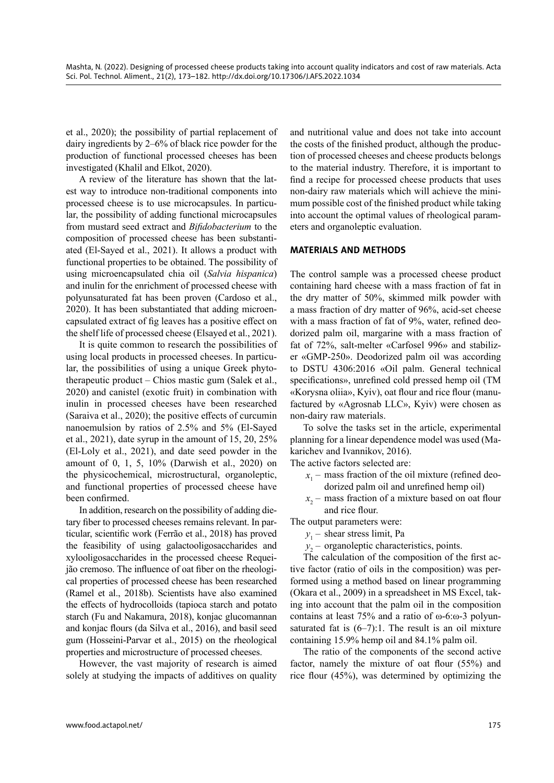et al., 2020); the possibility of partial replacement of dairy ingredients by 2–6% of black rice powder for the production of functional processed cheeses has been investigated (Khalil and Elkot, 2020).

A review of the literature has shown that the latest way to introduce non-traditional components into processed cheese is to use microcapsules. In particular, the possibility of adding functional microcapsules from mustard seed extract and *Bifidobacterium* to the composition of processed cheese has been substantiated (El-Sayed et al., 2021). It allows a product with functional properties to be obtained. The possibility of using microencapsulated chia oil (*Salvia hispanica*) and inulin for the enrichment of processed cheese with polyunsaturated fat has been proven (Cardoso et al., 2020). It has been substantiated that adding microencapsulated extract of fig leaves has a positive effect on the shelf life of processed cheese (Elsayed et al., 2021).

It is quite common to research the possibilities of using local products in processed cheeses. In particular, the possibilities of using a unique Greek phytotherapeutic product – Chios mastic gum (Salek et al., 2020) and canistel (exotic fruit) in combination with inulin in processed cheeses have been researched (Saraiva et al., 2020); the positive effects of curcumin nanoemulsion by ratios of 2.5% and 5% (El-Sayed et al., 2021), date syrup in the amount of 15, 20, 25% (El-Loly et al., 2021), and date seed powder in the amount of 0, 1, 5, 10% (Darwish et al., 2020) on the physicochemical, microstructural, organoleptic, and functional properties of processed cheese have been confirmed.

In addition, research on the possibility of adding dietary fiber to processed cheeses remains relevant. In particular, scientific work (Ferrão et al., 2018) has proved the feasibility of using galactooligosaccharides and xylooligosaccharides in the processed cheese Requeijão cremoso. The influence of oat fiber on the rheological properties of processed cheese has been researched (Ramel et al., 2018b). Scientists have also examined the effects of hydrocolloids (tapioca starch and potato starch (Fu and Nakamura, 2018), konjac glucomannan and konjac flours (da Silva et al., 2016), and basil seed gum (Hosseini-Parvar et al., 2015) on the rheological properties and microstructure of processed cheeses.

However, the vast majority of research is aimed solely at studying the impacts of additives on quality and nutritional value and does not take into account the costs of the finished product, although the production of processed cheeses and cheese products belongs to the material industry. Therefore, it is important to find a recipe for processed cheese products that uses non-dairy raw materials which will achieve the minimum possible cost of the finished product while taking into account the optimal values of rheological parameters and organoleptic evaluation.

#### **MATERIALS AND METHODS**

The control sample was a processed cheese product containing hard cheese with a mass fraction of fat in the dry matter of 50%, skimmed milk powder with a mass fraction of dry matter of 96%, acid-set cheese with a mass fraction of fat of 9%, water, refined deodorized palm oil, margarine with a mass fraction of fat of 72%, salt-melter «Carfosel 996» and stabilizer «GMP-250». Deodorized palm oil was according to DSTU 4306:2016 «Oil palm. General technical specifications», unrefined cold pressed hemp oil (TM «Korysna oliia», Kyiv), oat flour and rice flour (manufactured by «Agrosnab LLC», Kyiv) were chosen as non-dairy raw materials.

To solve the tasks set in the article, experimental planning for a linear dependence model was used (Makarichev and Ivannikov, 2016).

The active factors selected are:

- $x_1$  mass fraction of the oil mixture (refined deodorized palm oil and unrefined hemp oil)
- *x*2 mass fraction of a mixture based on oat flour and rice flour.

The output parameters were:

- *y*1 shear stress limit, Pa
- *y*2 organoleptic characteristics, points.

The calculation of the composition of the first active factor (ratio of oils in the composition) was performed using a method based on linear programming (Okara et al., 2009) in a spreadsheet in MS Excel, taking into account that the palm oil in the composition contains at least 75% and a ratio of ω-6:ω-3 polyunsaturated fat is  $(6-7)$ :1. The result is an oil mixture containing 15.9% hemp oil and 84.1% palm oil.

The ratio of the components of the second active factor, namely the mixture of oat flour (55%) and rice flour (45%), was determined by optimizing the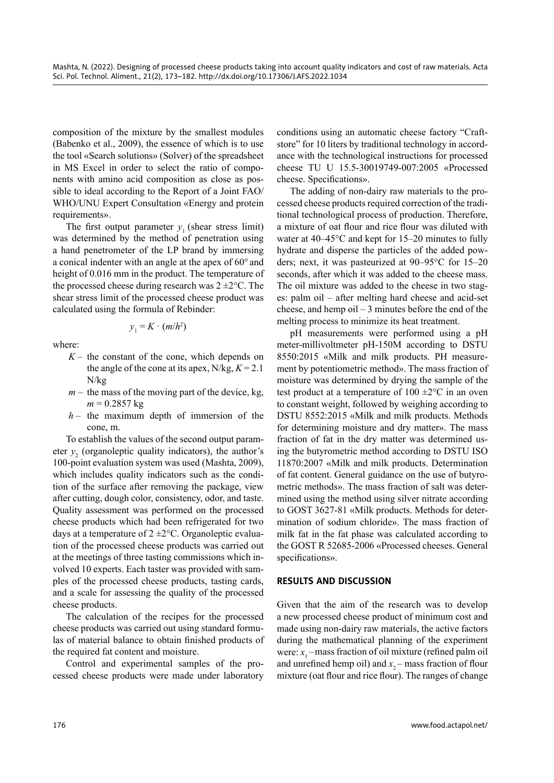composition of the mixture by the smallest modules (Babenko et al., 2009), the essence of which is to use the tool «Search solutions» (Solver) of the spreadsheet in MS Excel in order to select the ratio of components with amino acid composition as close as possible to ideal according to the Report of a Joint FAO/ WHO/UNU Expert Consultation «Energy and protein requirements».

The first output parameter  $y_1$  (shear stress limit) was determined by the method of penetration using a hand penetrometer of the LP brand by immersing a conical indenter with an angle at the apex of 60° and height of 0.016 mm in the product. The temperature of the processed cheese during research was  $2 \pm 2^{\circ}$ C. The shear stress limit of the processed cheese product was calculated using the formula of Rebinder:

$$
y_1 = K \cdot (m/h^2)
$$

where:

- $K-$  the constant of the cone, which depends on the angle of the cone at its apex,  $N/kg, K = 2.1$ N/kg
- $m -$  the mass of the moving part of the device, kg,  $m = 0.2857$  kg
- *h*  the maximum depth of immersion of the cone, m.

To establish the values of the second output parameter  $y_2$  (organoleptic quality indicators), the author's 100-point evaluation system was used (Mashta, 2009), which includes quality indicators such as the condition of the surface after removing the package, view after cutting, dough color, consistency, odor, and taste. Quality assessment was performed on the processed cheese products which had been refrigerated for two days at a temperature of  $2 \pm 2$ °C. Organoleptic evaluation of the processed cheese products was carried out at the meetings of three tasting commissions which involved 10 experts. Each taster was provided with samples of the processed cheese products, tasting cards, and a scale for assessing the quality of the processed cheese products.

The calculation of the recipes for the processed cheese products was carried out using standard formulas of material balance to obtain finished products of the required fat content and moisture.

Control and experimental samples of the processed cheese products were made under laboratory

conditions using an automatic cheese factory "Craftstore" for 10 liters by traditional technology in accordance with the technological instructions for processed cheese TU U 15.5-30019749-007:2005 «Processed cheese. Specifications».

The adding of non-dairy raw materials to the processed cheese products required correction of the traditional technological process of production. Therefore, a mixture of oat flour and rice flour was diluted with water at 40–45°C and kept for 15–20 minutes to fully hydrate and disperse the particles of the added powders; next, it was pasteurized at 90–95°C for 15–20 seconds, after which it was added to the cheese mass. The oil mixture was added to the cheese in two stages: palm oil – after melting hard cheese and acid-set cheese, and hemp oil – 3 minutes before the end of the melting process to minimize its heat treatment.

pH measurements were performed using a pH meter-millivoltmeter pH-150M according to DSTU 8550:2015 «Milk and milk products. PH measurement by potentiometric method». The mass fraction of moisture was determined by drying the sample of the test product at a temperature of  $100 \pm 2$ °C in an oven to constant weight, followed by weighing according to DSTU 8552:2015 «Milk and milk products. Methods for determining moisture and dry matter». The mass fraction of fat in the dry matter was determined using the butyrometric method according to DSTU ISO 11870:2007 «Milk and milk products. Determination of fat content. General guidance on the use of butyrometric methods». The mass fraction of salt was determined using the method using silver nitrate according to GOST 3627-81 «Milk products. Methods for determination of sodium chloride». The mass fraction of milk fat in the fat phase was calculated according to the GOST R 52685-2006 «Processed cheeses. General specifications».

# **RESULTS AND DISCUSSION**

Given that the aim of the research was to develop a new processed cheese product of minimum cost and made using non-dairy raw materials, the active factors during the mathematical planning of the experiment were:  $x_1$  – mass fraction of oil mixture (refined palm oil and unrefined hemp oil) and  $x_2$  – mass fraction of flour mixture (oat flour and rice flour). The ranges of change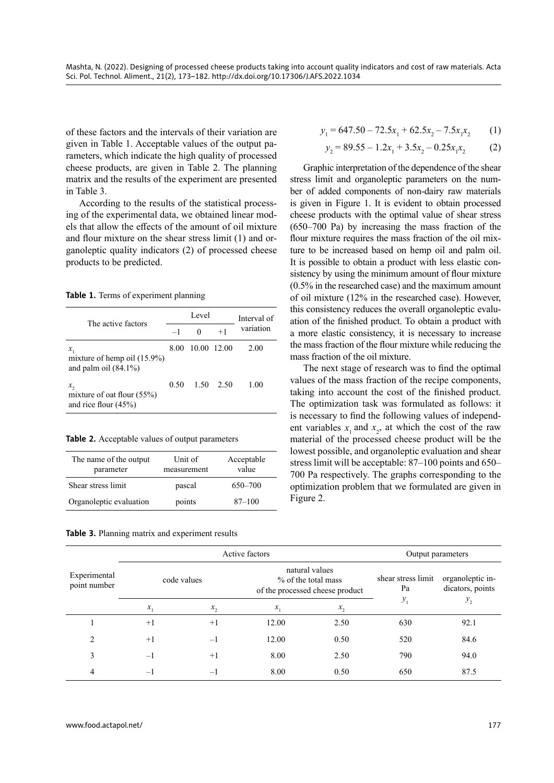of these factors and the intervals of their variation are given in Table 1. Acceptable values of the output parameters, which indicate the high quality of processed cheese products, are given in Table 2. The planning matrix and the results of the experiment are presented in Table 3.

According to the results of the statistical processing of the experimental data, we obtained linear models that allow the effects of the amount of oil mixture and flour mixture on the shear stress limit (1) and organoleptic quality indicators (2) of processed cheese products to be predicted.

**Table 1.** Terms of experiment planning

| The active factors                                                   | Level |             |                   | Interval of |  |
|----------------------------------------------------------------------|-------|-------------|-------------------|-------------|--|
|                                                                      | $-1$  | 0           | $+1$              | variation   |  |
| $x_{1}$<br>mixture of hemp oil $(15.9\%)$<br>and palm oil $(84.1\%)$ | 8.00  | 10.00 12.00 |                   | 2.00        |  |
| x,<br>mixture of oat flour $(55%)$<br>and rice flour $(45%)$         | 0.50  |             | $1.50 \quad 2.50$ | 1.00        |  |

**Table 2.** Acceptable values of output parameters

| The name of the output<br>parameter | Unit of<br>measurement | Acceptable<br>value |
|-------------------------------------|------------------------|---------------------|
| Shear stress limit                  | pascal                 | 650-700             |
| Organoleptic evaluation             | points                 | $87 - 100$          |

**Table 3.** Planning matrix and experiment results

$$
y_1 = 647.50 - 72.5x_1 + 62.5x_2 - 7.5x_1x_2 \tag{1}
$$

$$
y_2 = 89.55 - 1.2x_1 + 3.5x_2 - 0.25x_1x_2 \tag{2}
$$

Graphic interpretation of the dependence of the shear stress limit and organoleptic parameters on the number of added components of non-dairy raw materials is given in Figure 1. It is evident to obtain processed cheese products with the optimal value of shear stress (650–700 Pa) by increasing the mass fraction of the flour mixture requires the mass fraction of the oil mixture to be increased based on hemp oil and palm oil. It is possible to obtain a product with less elastic consistency by using the minimum amount of flour mixture (0.5% in the researched case) and the maximum amount of oil mixture (12% in the researched case). However, this consistency reduces the overall organoleptic evaluation of the finished product. To obtain a product with a more elastic consistency, it is necessary to increase the mass fraction of the flour mixture while reducing the mass fraction of the oil mixture.

The next stage of research was to find the optimal values of the mass fraction of the recipe components, taking into account the cost of the finished product. The optimization task was formulated as follows: it is necessary to find the following values of independent variables  $x_1$  and  $x_2$ , at which the cost of the raw material of the processed cheese product will be the lowest possible, and organoleptic evaluation and shear stress limit will be acceptable: 87–100 points and 650– 700 Pa respectively. The graphs corresponding to the optimization problem that we formulated are given in Figure 2.

|                              | Active factors |             |                                                                          |         | Output parameters        |                                      |
|------------------------------|----------------|-------------|--------------------------------------------------------------------------|---------|--------------------------|--------------------------------------|
| Experimental<br>point number |                | code values | natural values<br>% of the total mass<br>of the processed cheese product |         | shear stress limit<br>Pa | organoleptic in-<br>dicators, points |
|                              | $x_{1}$        | $x_{2}$     | $x_{1}$                                                                  | $x_{2}$ | $y_1$                    | $y_{2}$                              |
|                              | $+1$           | $+1$        | 12.00                                                                    | 2.50    | 630                      | 92.1                                 |
| $\overline{c}$               | $+1$           | $-1$        | 12.00                                                                    | 0.50    | 520                      | 84.6                                 |
| 3                            | $-1$           | $+1$        | 8.00                                                                     | 2.50    | 790                      | 94.0                                 |
| 4                            | $-1$           | $-1$        | 8.00                                                                     | 0.50    | 650                      | 87.5                                 |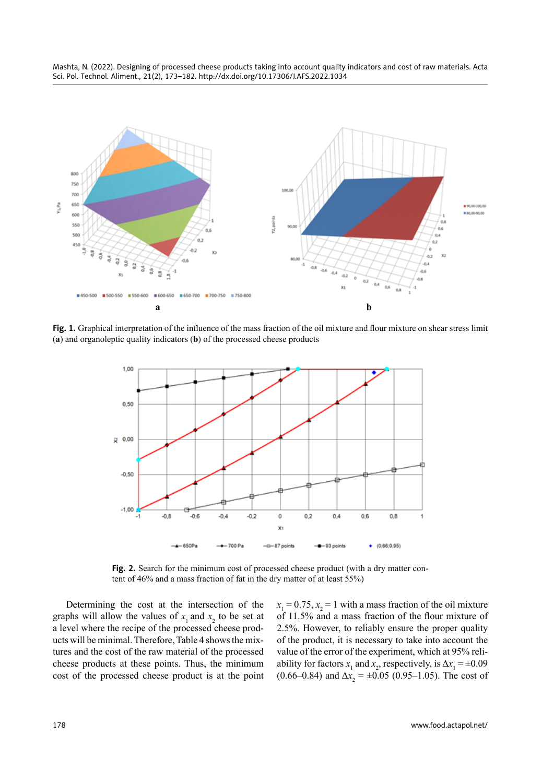



**Fig. 1.** Graphical interpretation of the influence of the mass fraction of the oil mixture and flour mixture on shear stress limit (**a**) and organoleptic quality indicators (**b**) of the processed cheese products



Fig. 2. Search for the minimum cost of processed cheese product (with a dry matter content of 46% and a mass fraction of fat in the dry matter of at least 55%)

Determining the cost at the intersection of the graphs will allow the values of  $x_1$  and  $x_2$  to be set at a level where the recipe of the processed cheese products will be minimal. Therefore, Table 4 shows the mixtures and the cost of the raw material of the processed cheese products at these points. Thus, the minimum cost of the processed cheese product is at the point

 $x_1 = 0.75$ ,  $x_2 = 1$  with a mass fraction of the oil mixture of 11.5% and a mass fraction of the flour mixture of 2.5%. However, to reliably ensure the proper quality of the product, it is necessary to take into account the value of the error of the experiment, which at 95% reliability for factors  $x_1$  and  $x_2$ , respectively, is  $\Delta x_1 = \pm 0.09$  $(0.66-0.84)$  and  $\Delta x_2 = \pm 0.05$  (0.95–1.05). The cost of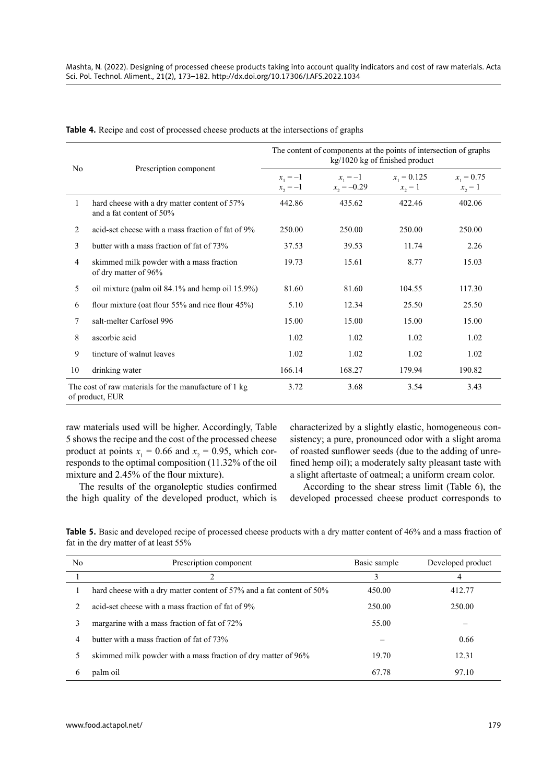| No                                                                                                       | Prescription component                                                   | The content of components at the points of intersection of graphs<br>kg/1020 kg of finished product |                             |                            |                           |
|----------------------------------------------------------------------------------------------------------|--------------------------------------------------------------------------|-----------------------------------------------------------------------------------------------------|-----------------------------|----------------------------|---------------------------|
|                                                                                                          |                                                                          | $x_1 = -1$<br>$x_2 = -1$                                                                            | $x_1 = -1$<br>$x_2 = -0.29$ | $x_1 = 0.125$<br>$x_2 = 1$ | $x_1 = 0.75$<br>$x_2 = 1$ |
| 1                                                                                                        | hard cheese with a dry matter content of 57%<br>and a fat content of 50% | 442.86                                                                                              | 435.62                      | 422.46                     | 402.06                    |
| 2                                                                                                        | acid-set cheese with a mass fraction of fat of 9%                        | 250.00                                                                                              | 250.00                      | 250.00                     | 250.00                    |
| 3                                                                                                        | butter with a mass fraction of fat of 73%                                | 37.53                                                                                               | 39.53                       | 11.74                      | 2.26                      |
| 4                                                                                                        | skimmed milk powder with a mass fraction<br>of dry matter of 96%         | 19.73                                                                                               | 15.61                       | 8.77                       | 15.03                     |
| 5                                                                                                        | oil mixture (palm oil 84.1% and hemp oil 15.9%)                          | 81.60                                                                                               | 81.60                       | 104.55                     | 117.30                    |
| 6                                                                                                        | flour mixture (oat flour 55% and rice flour 45%)                         | 5.10                                                                                                | 12.34                       | 25.50                      | 25.50                     |
| 7                                                                                                        | salt-melter Carfosel 996                                                 | 15.00                                                                                               | 15.00                       | 15.00                      | 15.00                     |
| 8                                                                                                        | ascorbic acid                                                            | 1.02                                                                                                | 1.02                        | 1.02                       | 1.02                      |
| 9                                                                                                        | tincture of walnut leaves                                                | 1.02                                                                                                | 1.02                        | 1.02                       | 1.02                      |
| 10                                                                                                       | drinking water                                                           | 166.14                                                                                              | 168.27                      | 179.94                     | 190.82                    |
| The cost of raw materials for the manufacture of 1 kg<br>3.68<br>3.54<br>3.43<br>3.72<br>of product, EUR |                                                                          |                                                                                                     |                             |                            |                           |

**Table 4.** Recipe and cost of processed cheese products at the intersections of graphs

raw materials used will be higher. Accordingly, Table 5 shows the recipe and the cost of the processed cheese product at points  $x_1 = 0.66$  and  $x_2 = 0.95$ , which corresponds to the optimal composition (11.32% of the oil mixture and 2.45% of the flour mixture).

The results of the organoleptic studies confirmed the high quality of the developed product, which is

characterized by a slightly elastic, homogeneous consistency; a pure, pronounced odor with a slight aroma of roasted sunflower seeds (due to the adding of unrefined hemp oil); a moderately salty pleasant taste with a slight aftertaste of oatmeal; a uniform cream color.

According to the shear stress limit (Table 6), the developed processed cheese product corresponds to

**Table 5.** Basic and developed recipe of processed cheese products with a dry matter content of 46% and a mass fraction of fat in the dry matter of at least 55%

| No | Prescription component                                                | Basic sample | Developed product |
|----|-----------------------------------------------------------------------|--------------|-------------------|
|    | C                                                                     | 3            | 4                 |
|    | hard cheese with a dry matter content of 57% and a fat content of 50% | 450.00       | 412.77            |
|    | acid-set cheese with a mass fraction of fat of 9%                     | 250.00       | 250.00            |
| 3  | margarine with a mass fraction of fat of 72%                          | 55.00        |                   |
| 4  | butter with a mass fraction of fat of 73%                             |              | 0.66              |
|    | skimmed milk powder with a mass fraction of dry matter of 96%         | 19.70        | 12.31             |
| 6  | palm oil                                                              | 67.78        | 97.10             |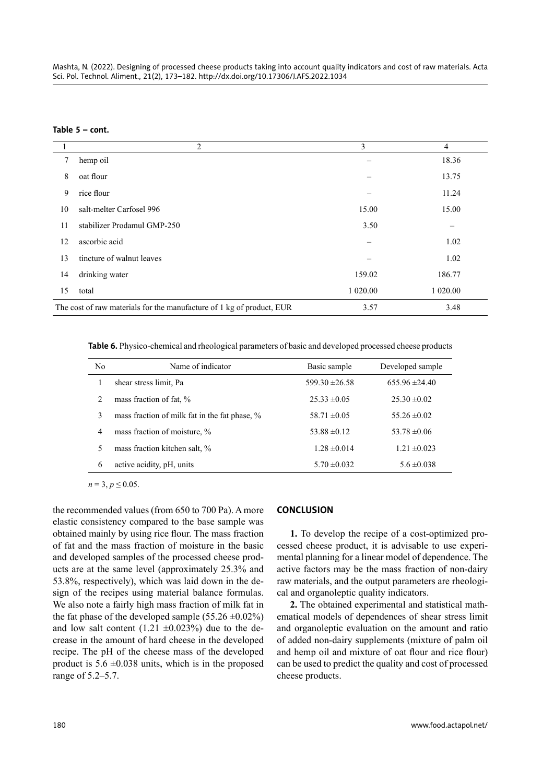**Table 5 – cont.**

|    | $\overline{2}$                                                        | 3        | 4        |
|----|-----------------------------------------------------------------------|----------|----------|
| 7  | hemp oil                                                              |          | 18.36    |
| 8  | oat flour                                                             |          | 13.75    |
| 9  | rice flour                                                            |          | 11.24    |
| 10 | salt-melter Carfosel 996                                              | 15.00    | 15.00    |
| 11 | stabilizer Prodamul GMP-250                                           | 3.50     |          |
| 12 | ascorbic acid                                                         | $\equiv$ | 1.02     |
| 13 | tincture of walnut leaves                                             |          | 1.02     |
| 14 | drinking water                                                        | 159.02   | 186.77   |
| 15 | total                                                                 | 1 020.00 | 1 020.00 |
|    | The cost of raw materials for the manufacture of 1 kg of product, EUR | 3.57     | 3.48     |

**Table 6.** Physico-chemical and rheological parameters of basic and developed processed cheese products

| No.            | Name of indicator                             | Basic sample       | Developed sample   |
|----------------|-----------------------------------------------|--------------------|--------------------|
|                | shear stress limit, Pa                        | $599.30 \pm 26.58$ | $655.96 \pm 24.40$ |
| $\mathcal{L}$  | mass fraction of fat, %                       | $25.33 \pm 0.05$   | $25.30 \pm 0.02$   |
| 3              | mass fraction of milk fat in the fat phase, % | $58.71 \pm 0.05$   | $55.26 \pm 0.02$   |
| $\overline{4}$ | mass fraction of moisture, %                  | $53.88 \pm 0.12$   | $53.78 \pm 0.06$   |
| 5              | mass fraction kitchen salt, %                 | $1.28 \pm 0.014$   | $1.21 \pm 0.023$   |
| 6              | active acidity, pH, units                     | $5.70 \pm 0.032$   | $5.6 \pm 0.038$    |
|                |                                               |                    |                    |

 $n = 3, p \le 0.05$ .

the recommended values (from 650 to 700 Pa). A more elastic consistency compared to the base sample was obtained mainly by using rice flour. The mass fraction of fat and the mass fraction of moisture in the basic and developed samples of the processed cheese products are at the same level (approximately 25.3% and 53.8%, respectively), which was laid down in the design of the recipes using material balance formulas. We also note a fairly high mass fraction of milk fat in the fat phase of the developed sample  $(55.26 \pm 0.02\%)$ and low salt content  $(1.21 \pm 0.023\%)$  due to the decrease in the amount of hard cheese in the developed recipe. The pH of the cheese mass of the developed product is  $5.6 \pm 0.038$  units, which is in the proposed range of 5.2–5.7.

# **CONCLUSION**

**1.** To develop the recipe of a cost-optimized processed cheese product, it is advisable to use experimental planning for a linear model of dependence. The active factors may be the mass fraction of non-dairy raw materials, and the output parameters are rheological and organoleptic quality indicators.

**2.** The obtained experimental and statistical mathematical models of dependences of shear stress limit and organoleptic evaluation on the amount and ratio of added non-dairy supplements (mixture of palm oil and hemp oil and mixture of oat flour and rice flour) can be used to predict the quality and cost of processed cheese products.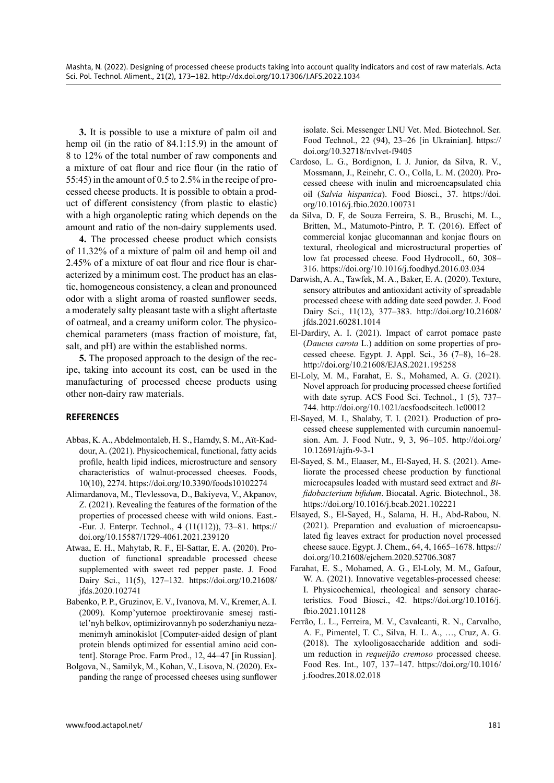**3.** It is possible to use a mixture of palm oil and hemp oil (in the ratio of 84.1:15.9) in the amount of 8 to 12% of the total number of raw components and a mixture of oat flour and rice flour (in the ratio of 55:45) in the amount of 0.5 to 2.5% in the recipe of processed cheese products. It is possible to obtain a product of different consistency (from plastic to elastic) with a high organoleptic rating which depends on the amount and ratio of the non-dairy supplements used.

**4.** The processed cheese product which consists of 11.32% of a mixture of palm oil and hemp oil and 2.45% of a mixture of oat flour and rice flour is characterized by a minimum cost. The product has an elastic, homogeneous consistency, a clean and pronounced odor with a slight aroma of roasted sunflower seeds, a moderately salty pleasant taste with a slight aftertaste of oatmeal, and a creamy uniform color. The physicochemical parameters (mass fraction of moisture, fat, salt, and pH) are within the established norms.

**5.** The proposed approach to the design of the recipe, taking into account its cost, can be used in the manufacturing of processed cheese products using other non-dairy raw materials.

# **REFERENCES**

- Abbas, K. A., Abdelmontaleb, H. S., Hamdy, S. M., Aït-Kaddour, A. (2021). Physicochemical, functional, fatty acids profile, health lipid indices, microstructure and sensory characteristics of walnut-processed cheeses. Foods, 10(10), 2274. <https://doi.org/10.3390/foods10102274>
- Alimardanova, M., Tlevlessova, D., Bakiyeva, V., Akpanov, Z. (2021). Revealing the features of the formation of the properties of processed cheese with wild onions. East.- -Eur. J. Enterpr. Technol., 4 (11(112)), 73–81[. https://](https://doi.org/10.15587/1729-4061.2021.239120) [doi.org/10.15587/1729-4061.2021.239120](https://doi.org/10.15587/1729-4061.2021.239120)
- Atwaa, E. H., Mahytab, R. F., El-Sattar, E. A. (2020). Production of functional spreadable processed cheese supplemented with sweet red pepper paste. J. Food Dairy Sci., 11(5), 127–132. [https://doi.org/10.21608/](https://doi.org/10.21608/jfds.2020.102741) [jfds.2020.102741](https://doi.org/10.21608/jfds.2020.102741)
- Babenko, P. P., Gruzinov, E. V., Ivanova, M. V., Kremer, A. I. (2009). Komp'yuternoe proektirovanie smesej rastitel'nyh belkov, optimizirovannyh po soderzhaniyu nezamenimyh aminokislot [Computer-aided design of plant protein blends optimized for essential amino acid content]. Storage Proc. Farm Prod., 12, 44–47 [in Russian].
- Bolgova, N., Samilyk, M., Kohan, V., Lisova, N. (2020). Expanding the range of processed cheeses using sunflower

isolate. Sci. Messenger LNU Vet. Med. Biotechnol. Ser. Food Technol., 22 (94), 23–26 [in Ukrainian]. [https://](https://doi.org/10.32718/nvlvet-f9405) [doi.org/10.32718/nvlvet-f9405](https://doi.org/10.32718/nvlvet-f9405)

- Cardoso, L. G., Bordignon, I. J. Junior, da Silva, R. V., Mossmann, J., Reinehr, C. O., Colla, L. M. (2020). Processed cheese with inulin and microencapsulated chia oil (*Salvia hispanica*). Food Biosci., 37. [https://doi.](https://doi.org/10.1016/j.fbio.2020.100731) [org/10.1016/j.fbio.2020.100731](https://doi.org/10.1016/j.fbio.2020.100731)
- da Silva, D. F, de Souza Ferreira, S. B., Bruschi, M. L., Britten, M., Matumoto-Pintro, P. T. (2016). Effect of commercial konjac glucomannan and konjac flours on textural, rheological and microstructural properties of low fat processed cheese. Food Hydrocoll., 60, 308– 316. <https://doi.org/10.1016/j.foodhyd.2016.03.034>
- Darwish, A. A., Tawfek, M. A., Baker, E. A. (2020). Texture, sensory attributes and antioxidant activity of spreadable processed cheese with adding date seed powder. J. Food Dairy Sci., 11(12), 377–383. [http://doi.org/10.21608/](http://doi.org/10.21608/jfds.2021.60281.1014) [jfds.2021.60281.1014](http://doi.org/10.21608/jfds.2021.60281.1014)
- El-Dardiry, A. I. (2021). Impact of carrot pomace paste (*Daucus carota* L.) addition on some properties of processed cheese. Egypt. J. Appl. Sci., 36 (7–8), 16–28. <http://doi.org/10.21608/EJAS.2021.195258>
- El-Loly, M. M., Farahat, E. S., Mohamed, A. G. (2021). Novel approach for producing processed cheese fortified with date syrup. ACS Food Sci. Technol., 1 (5), 737– 744. <http://doi.org/10.1021/acsfoodscitech.1c00012>
- El-Sayed, M. I., Shalaby, T. I. (2021). Production of processed cheese supplemented with curcumin nanoemulsion. Am. J. Food Nutr., 9, 3, 96–105[. http://doi.org/](%20http://doi.org/10.12691/ajfn-9-3-1) [10.12691/ajfn-9-3-1](%20http://doi.org/10.12691/ajfn-9-3-1)
- El-Sayed, S. M., Elaaser, M., El-Sayed, H. S. (2021). Ameliorate the processed cheese production by functional microcapsules loaded with mustard seed extract and *Bifidobacterium bifidum*. Biocatal. Agric. Biotechnol., 38. <https://doi.org/10.1016/j.bcab.2021.102221>
- Elsayed, S., El-Sayed, H., Salama, H. H., Abd-Rabou, N. (2021). Preparation and evaluation of microencapsulated fig leaves extract for production novel processed cheese sauce. Egypt. J. Chem., 64, 4, 1665–1678. [https://](https://doi.org/10.21608/ejchem.2020.52706.3087) [doi.org/10.21608/ejchem.2020.52706.3087](https://doi.org/10.21608/ejchem.2020.52706.3087)
- Farahat, E. S., Mohamed, A. G., El-Loly, M. M., Gafour, W. A. (2021). Innovative vegetables-processed cheese: I. Physicochemical, rheological and sensory characteristics. Food Biosci., 42. [https://doi.org/10.1016/j.](https://doi.org/10.1016/j.fbio.2021.101128) [fbio.2021.101128](https://doi.org/10.1016/j.fbio.2021.101128)
- Ferrão, L. L., Ferreira, M. V., Cavalcanti, R. N., Carvalho, A. F., Pimentel, T. C., Silva, H. L. A., …, Cruz, A. G. (2018). The xylooligosaccharide addition and sodium reduction in *requeijão cremoso* processed cheese. Food Res. Int., 107, 137–147. [https://doi.org/10.1016/](https://doi.org/10.1016/j.foodres.2018.02.018) [j.foodres.2018.02.018](https://doi.org/10.1016/j.foodres.2018.02.018)